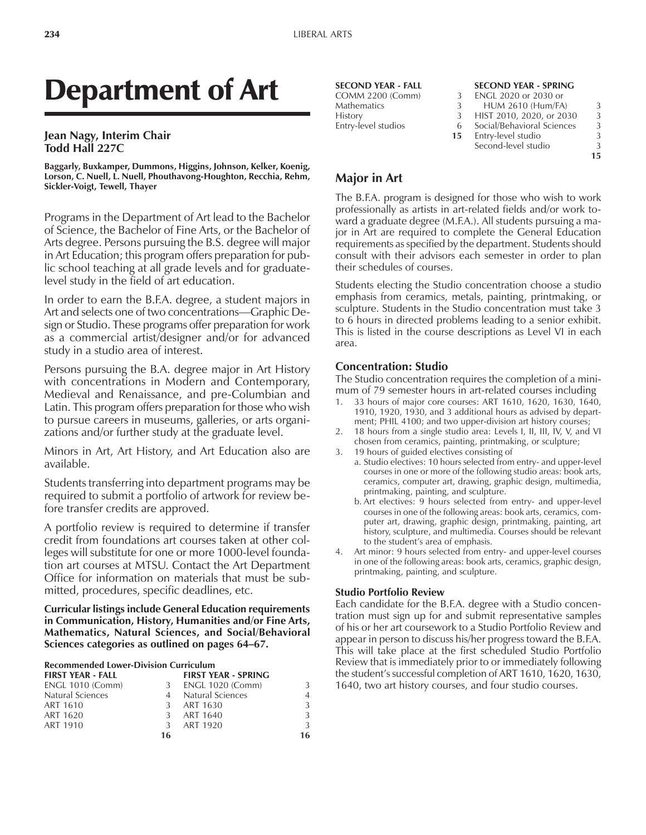# Department of Art

#### **Jean Nagy, Interim Chair Todd Hall 227C**

**Baggarly, Buxkamper, Dummons, Higgins, Johnson, Kelker, Koenig, Lorson, C. Nuell, L. Nuell, Phouthavong-Houghton, Recchia, Rehm, Sickler-Voigt, Tewell, Thayer**

Programs in the Department of Art lead to the Bachelor of Science, the Bachelor of Fine Arts, or the Bachelor of Arts degree. Persons pursuing the B.S. degree will major in Art Education; this program offers preparation for public school teaching at all grade levels and for graduatelevel study in the field of art education.

In order to earn the B.F.A. degree, a student majors in Art and selects one of two concentrations-Graphic Design or Studio. These programs offer preparation for work as a commercial artist/designer and/or for advanced study in a studio area of interest.

Persons pursuing the B.A. degree major in Art History with concentrations in Modern and Contemporary, Medieval and Renaissance, and pre-Columbian and Latin. This program offers preparation for those who wish to pursue careers in museums, galleries, or arts organizations and/or further study at the graduate level.

Minors in Art, Art History, and Art Education also are available.

Students transferring into department programs may be required to submit a portfolio of artwork for review before transfer credits are approved.

A portfolio review is required to determine if transfer credit from foundations art courses taken at other colleges will substitute for one or more 1000-level foundation art courses at MTSU. Contact the Art Department Office for information on materials that must be submitted, procedures, specific deadlines, etc.

**Curricular listings include General Education requirements in Communication, History, Humanities and/or Fine Arts, Mathematics, Natural Sciences, and Social/Behavioral** Sciences categories as outlined on pages 64–67.

#### **Recommended Lower-Division Curriculum**

| <b>FIRST YEAR - FALL</b> |               | <b>FIRST YEAR - SPRING</b> |                |
|--------------------------|---------------|----------------------------|----------------|
| <b>ENGL 1010 (Comm)</b>  | 3             | ENGL 1020 (Comm)           | 3              |
| Natural Sciences         |               | <b>Natural Sciences</b>    | $\overline{4}$ |
| ART 1610                 | 3             | ART 1630                   | 3              |
| ART 1620                 | $\mathcal{L}$ | ART 1640                   | 3              |
| ART 1910                 | 3             | ART 1920                   | 3              |
|                          | 16            |                            | 16             |

| <b>SECOND YEAR - FALL</b> |    | <b>SECOND YEAR - SPRING</b> |    |
|---------------------------|----|-----------------------------|----|
| COMM 2200 (Comm)          | 3  | ENGL 2020 or 2030 or        |    |
| <b>Mathematics</b>        | 3  | <b>HUM 2610 (Hum/FA)</b>    | 3  |
| <b>History</b>            | 3  | HIST 2010, 2020, or 2030    | 3  |
| Entry-level studios       | 6  | Social/Behavioral Sciences  | 3  |
|                           | 15 | Entry-level studio          | 3  |
|                           |    | Second-level studio         | 3  |
|                           |    |                             | 15 |

## **Major in Art**

The B.F.A. program is designed for those who wish to work professionally as artists in art-related fields and/or work toward a graduate degree (M.F.A.). All students pursuing a major in Art are required to complete the General Education requirements as specified by the department. Students should consult with their advisors each semester in order to plan their schedules of courses.

Students electing the Studio concentration choose a studio emphasis from ceramics, metals, painting, printmaking, or sculpture. Students in the Studio concentration must take 3 to 6 hours in directed problems leading to a senior exhibit. This is listed in the course descriptions as Level VI in each area.

#### **Concentration: Studio**

The Studio concentration requires the completion of a minimum of 79 semester hours in art-related courses including

- 1. 33 hours of major core courses: ART 1610, 1620, 1630, 1640, 1910, 1920, 1930, and 3 additional hours as advised by department; PHIL 4100; and two upper-division art history courses;
- 2. 18 hours from a single studio area: Levels I, II, III, IV, V, and VI chosen from ceramics, painting, printmaking, or sculpture;
- 3. 19 hours of guided electives consisting of
	- a. Studio electives: 10 hours selected from entry- and upper-level courses in one or more of the following studio areas: book arts, ceramics, computer art, drawing, graphic design, multimedia, printmaking, painting, and sculpture.
	- b. Art electives: 9 hours selected from entry- and upper-level courses in one of the following areas: book arts, ceramics, computer art, drawing, graphic design, printmaking, painting, art history, sculpture, and multimedia. Courses should be relevant to the student's area of emphasis.
- 4. Art minor: 9 hours selected from entry- and upper-level courses in one of the following areas: book arts, ceramics, graphic design, printmaking, painting, and sculpture.

#### **Studio Portfolio Review**

Each candidate for the B.F.A. degree with a Studio concentration must sign up for and submit representative samples of his or her art coursework to a Studio Portfolio Review and appear in person to discuss his/her progress toward the B.F.A. This will take place at the first scheduled Studio Portfolio Review that is immediately prior to or immediately following the student's successful completion of ART 1610, 1620, 1630, 1640, two art history courses, and four studio courses.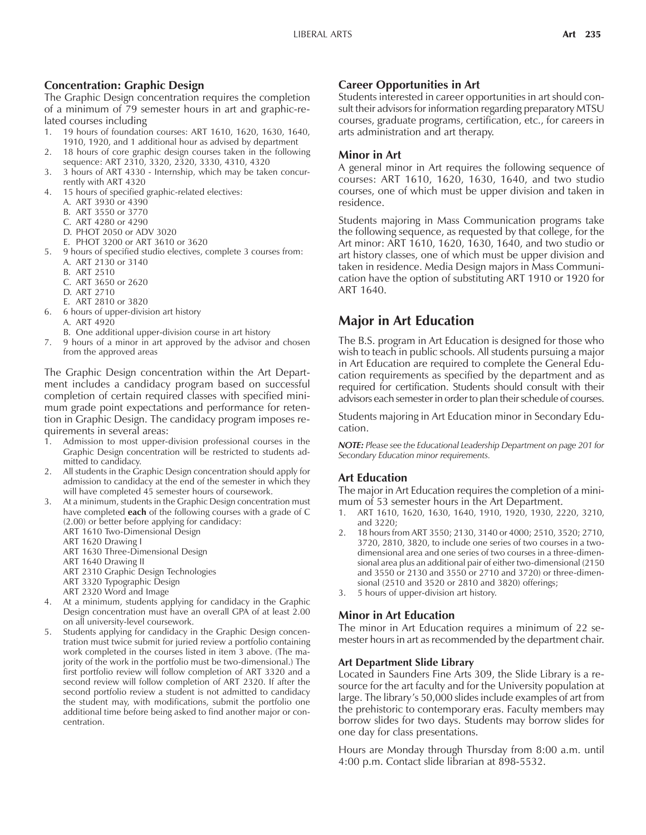#### **Concentration: Graphic Design**

The Graphic Design concentration requires the completion of a minimum of 79 semester hours in art and graphic-related courses including

- 1. 19 hours of foundation courses: ART 1610, 1620, 1630, 1640, 1910, 1920, and 1 additional hour as advised by department
- 2. 18 hours of core graphic design courses taken in the following sequence: ART 2310, 3320, 2320, 3330, 4310, 4320
- 3. 3 hours of ART 4330 Internship, which may be taken concurrently with ART 4320
- 4. 15 hours of specified graphic-related electives:
- A. ART 3930 or 4390
	- B. ART 3550 or 3770
	- C. ART 4280 or 4290
	- D. PHOT 2050 or ADV 3020
	- E. PHOT 3200 or ART 3610 or 3620
- 5. 9 hours of specified studio electives, complete 3 courses from: A. ART 2130 or 3140
	- B. ART 2510
	- C. ART 3650 or 2620
	- D. ART 2710
	- E. ART 2810 or 3820
- 6. 6 hours of upper-division art history A. ART 4920
	- B. One additional upper-division course in art history
- 7. 9 hours of a minor in art approved by the advisor and chosen from the approved areas

The Graphic Design concentration within the Art Department includes a candidacy program based on successful completion of certain required classes with specified minimum grade point expectations and performance for retention in Graphic Design. The candidacy program imposes requirements in several areas:

- 1. Admission to most upper-division professional courses in the Graphic Design concentration will be restricted to students admitted to candidacy.
- 2. All students in the Graphic Design concentration should apply for admission to candidacy at the end of the semester in which they will have completed 45 semester hours of coursework.
- 3. At a minimum, students in the Graphic Design concentration must have completed **each** of the following courses with a grade of C (2.00) or better before applying for candidacy:
	- ART 1610 Two-Dimensional Design
	- ART 1620 Drawing I
	- ART 1630 Three-Dimensional Design
	- ART 1640 Drawing II
	- ART 2310 Graphic Design Technologies
	- ART 3320 Typographic Design
	- ART 2320 Word and Image
- 4. At a minimum, students applying for candidacy in the Graphic Design concentration must have an overall GPA of at least 2.00 on all university-level coursework.
- 5. Students applying for candidacy in the Graphic Design concentration must twice submit for juried review a portfolio containing work completed in the courses listed in item 3 above. (The majority of the work in the portfolio must be two-dimensional.) The first portfolio review will follow completion of ART 3320 and a second review will follow completion of ART 2320. If after the second portfolio review a student is not admitted to candidacy the student may, with modifications, submit the portfolio one additional time before being asked to find another major or concentration.

#### **Career Opportunities in Art**

Students interested in career opportunities in art should consult their advisors for information regarding preparatory MTSU courses, graduate programs, certification, etc., for careers in arts administration and art therapy.

#### **Minor in Art**

A general minor in Art requires the following sequence of courses: ART 1610, 1620, 1630, 1640, and two studio courses, one of which must be upper division and taken in residence.

Students majoring in Mass Communication programs take the following sequence, as requested by that college, for the Art minor: ART 1610, 1620, 1630, 1640, and two studio or art history classes, one of which must be upper division and taken in residence. Media Design majors in Mass Communication have the option of substituting ART 1910 or 1920 for ART 1640.

# **Major in Art Education**

The B.S. program in Art Education is designed for those who wish to teach in public schools. All students pursuing a major in Art Education are required to complete the General Education requirements as specified by the department and as required for certification. Students should consult with their advisors each semester in order to plan their schedule of courses.

Students majoring in Art Education minor in Secondary Education.

*NOTE: Please see the Educational Leadership Department on page 201 for Secondary Education minor requirements.*

#### **Art Education**

The major in Art Education requires the completion of a minimum of 53 semester hours in the Art Department.

- 1. ART 1610, 1620, 1630, 1640, 1910, 1920, 1930, 2220, 3210, and 3220;
- 2. 18 hours from ART 3550; 2130, 3140 or 4000; 2510, 3520; 2710, 3720, 2810, 3820, to include one series of two courses in a twodimensional area and one series of two courses in a three-dimensional area plus an additional pair of either two-dimensional (2150 and 3550 or 2130 and 3550 or 2710 and 3720) or three-dimensional (2510 and 3520 or 2810 and 3820) offerings;
- 3. 5 hours of upper-division art history.

### **Minor in Art Education**

The minor in Art Education requires a minimum of 22 semester hours in art as recommended by the department chair.

#### **Art Department Slide Library**

Located in Saunders Fine Arts 309, the Slide Library is a resource for the art faculty and for the University population at large. The library's 50,000 slides include examples of art from the prehistoric to contemporary eras. Faculty members may borrow slides for two days. Students may borrow slides for one day for class presentations.

Hours are Monday through Thursday from 8:00 a.m. until 4:00 p.m. Contact slide librarian at 898-5532.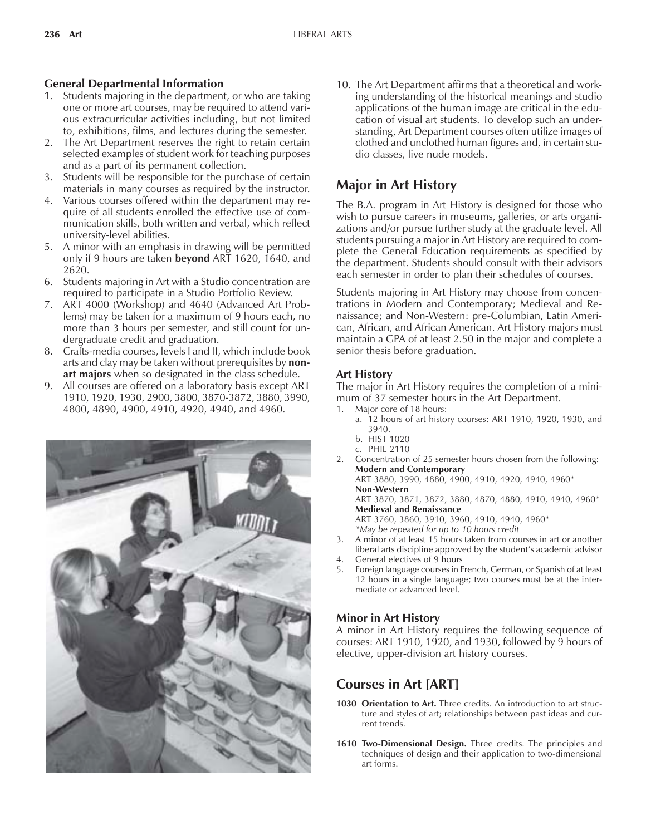## **General Departmental Information**

- 1. Students majoring in the department, or who are taking one or more art courses, may be required to attend various extracurricular activities including, but not limited to, exhibitions, films, and lectures during the semester.
- 2. The Art Department reserves the right to retain certain selected examples of student work for teaching purposes and as a part of its permanent collection.
- 3. Students will be responsible for the purchase of certain materials in many courses as required by the instructor.
- 4. Various courses offered within the department may require of all students enrolled the effective use of communication skills, both written and verbal, which reflect university-level abilities.
- 5. A minor with an emphasis in drawing will be permitted only if 9 hours are taken **beyond** ART 1620, 1640, and 2620.
- 6. Students majoring in Art with a Studio concentration are required to participate in a Studio Portfolio Review.
- 7. ART 4000 (Workshop) and 4640 (Advanced Art Problems) may be taken for a maximum of 9 hours each, no more than 3 hours per semester, and still count for undergraduate credit and graduation.
- 8. Crafts-media courses, levels I and II, which include book arts and clay may be taken without prerequisites by **nonart majors** when so designated in the class schedule.
- 9. All courses are offered on a laboratory basis except ART 1910, 1920, 1930, 2900, 3800, 3870-3872, 3880, 3990, 4800, 4890, 4900, 4910, 4920, 4940, and 4960.



10. The Art Department affirms that a theoretical and working understanding of the historical meanings and studio applications of the human image are critical in the education of visual art students. To develop such an understanding, Art Department courses often utilize images of clothed and unclothed human figures and, in certain studio classes, live nude models.

# **Major in Art History**

The B.A. program in Art History is designed for those who wish to pursue careers in museums, galleries, or arts organizations and/or pursue further study at the graduate level. All students pursuing a major in Art History are required to complete the General Education requirements as specified by the department. Students should consult with their advisors each semester in order to plan their schedules of courses.

Students majoring in Art History may choose from concentrations in Modern and Contemporary; Medieval and Renaissance; and Non-Western: pre-Columbian, Latin American, African, and African American. Art History majors must maintain a GPA of at least 2.50 in the major and complete a senior thesis before graduation.

## **Art History**

The major in Art History requires the completion of a minimum of 37 semester hours in the Art Department.

- Major core of 18 hours:
	- a. 12 hours of art history courses: ART 1910, 1920, 1930, and 3940.
	- b. HIST 1020 c. PHIL 2110
- 2. Concentration of 25 semester hours chosen from the following: **Modern and Contemporary**

ART 3880, 3990, 4880, 4900, 4910, 4920, 4940, 4960\* **Non-Western**

ART 3870, 3871, 3872, 3880, 4870, 4880, 4910, 4940, 4960\* **Medieval and Renaissance**

ART 3760, 3860, 3910, 3960, 4910, 4940, 4960\*

*\*May be repeated for up to 10 hours credit*

- 3. A minor of at least 15 hours taken from courses in art or another liberal arts discipline approved by the student's academic advisor
- 4. General electives of 9 hours
- 5. Foreign language courses in French, German, or Spanish of at least 12 hours in a single language; two courses must be at the intermediate or advanced level.

## **Minor in Art History**

A minor in Art History requires the following sequence of courses: ART 1910, 1920, and 1930, followed by 9 hours of elective, upper-division art history courses.

# **Courses in Art [ART]**

- 1030 Orientation to Art. Three credits. An introduction to art structure and styles of art; relationships between past ideas and current trends.
- **1610 Two-Dimensional Design.** Three credits. The principles and techniques of design and their application to two-dimensional art forms.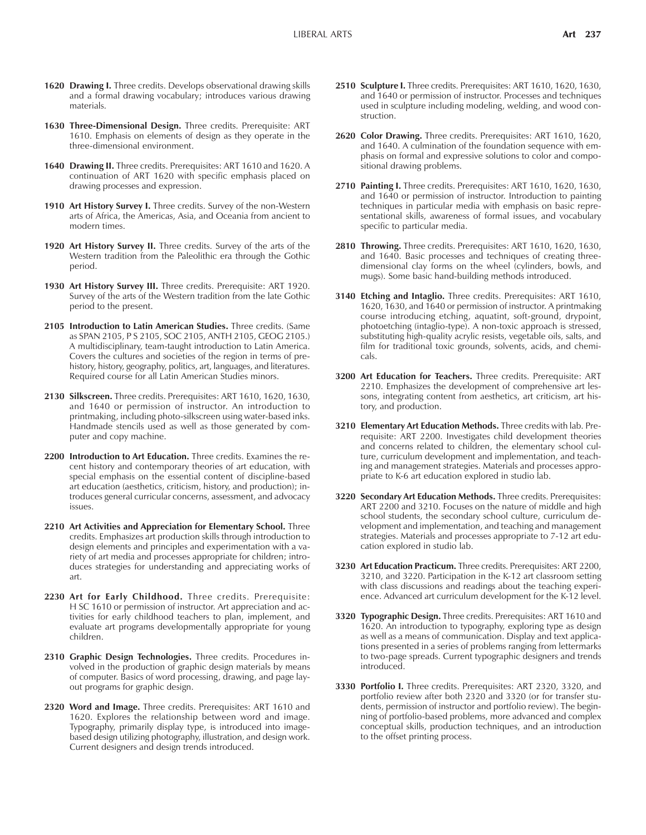- 1620 Drawing I. Three credits. Develops observational drawing skills and a formal drawing vocabulary; introduces various drawing materials.
- **1630 Three-Dimensional Design.** Three credits. Prerequisite: ART 1610. Emphasis on elements of design as they operate in the three-dimensional environment.
- **1640 Drawing II.** Three credits. Prerequisites: ART 1610 and 1620. A continuation of ART 1620 with specific emphasis placed on drawing processes and expression.
- **1910 Art History Survey I.** Three credits. Survey of the non-Western arts of Africa, the Americas, Asia, and Oceania from ancient to modern times.
- **1920 Art History Survey II.** Three credits. Survey of the arts of the Western tradition from the Paleolithic era through the Gothic period.
- **1930 Art History Survey III.** Three credits. Prerequisite: ART 1920. Survey of the arts of the Western tradition from the late Gothic period to the present.
- **2105 Introduction to Latin American Studies.** Three credits. (Same as SPAN 2105, P S 2105, SOC 2105, ANTH 2105, GEOG 2105.) A multidisciplinary, team-taught introduction to Latin America. Covers the cultures and societies of the region in terms of prehistory, history, geography, politics, art, languages, and literatures. Required course for all Latin American Studies minors.
- **2130 Silkscreen.** Three credits. Prerequisites: ART 1610, 1620, 1630, and 1640 or permission of instructor. An introduction to printmaking, including photo-silkscreen using water-based inks. Handmade stencils used as well as those generated by computer and copy machine.
- **2200 Introduction to Art Education.** Three credits. Examines the recent history and contemporary theories of art education, with special emphasis on the essential content of discipline-based art education (aesthetics, criticism, history, and production); introduces general curricular concerns, assessment, and advocacy issues.
- **2210 Art Activities and Appreciation for Elementary School.** Three credits. Emphasizes art production skills through introduction to design elements and principles and experimentation with a variety of art media and processes appropriate for children; introduces strategies for understanding and appreciating works of art.
- **2230 Art for Early Childhood.** Three credits. Prerequisite: H SC 1610 or permission of instructor. Art appreciation and activities for early childhood teachers to plan, implement, and evaluate art programs developmentally appropriate for young children.
- **2310 Graphic Design Technologies.** Three credits. Procedures involved in the production of graphic design materials by means of computer. Basics of word processing, drawing, and page layout programs for graphic design.
- **2320 Word and Image.** Three credits. Prerequisites: ART 1610 and 1620. Explores the relationship between word and image. Typography, primarily display type, is introduced into imagebased design utilizing photography, illustration, and design work. Current designers and design trends introduced.
- **2510 Sculpture I.** Three credits. Prerequisites: ART 1610, 1620, 1630, and 1640 or permission of instructor. Processes and techniques used in sculpture including modeling, welding, and wood construction.
- **2620 Color Drawing.** Three credits. Prerequisites: ART 1610, 1620, and 1640. A culmination of the foundation sequence with emphasis on formal and expressive solutions to color and compositional drawing problems.
- **2710 Painting I.** Three credits. Prerequisites: ART 1610, 1620, 1630, and 1640 or permission of instructor. Introduction to painting techniques in particular media with emphasis on basic representational skills, awareness of formal issues, and vocabulary specific to particular media.
- **2810 Throwing.** Three credits. Prerequisites: ART 1610, 1620, 1630, and 1640. Basic processes and techniques of creating threedimensional clay forms on the wheel (cylinders, bowls, and mugs). Some basic hand-building methods introduced.
- **3140 Etching and Intaglio.** Three credits. Prerequisites: ART 1610, 1620, 1630, and 1640 or permission of instructor. A printmaking course introducing etching, aquatint, soft-ground, drypoint, photoetching (intaglio-type). A non-toxic approach is stressed, substituting high-quality acrylic resists, vegetable oils, salts, and film for traditional toxic grounds, solvents, acids, and chemicals.
- **3200 Art Education for Teachers.** Three credits. Prerequisite: ART 2210. Emphasizes the development of comprehensive art lessons, integrating content from aesthetics, art criticism, art history, and production.
- **3210 Elementary Art Education Methods.** Three credits with lab. Prerequisite: ART 2200. Investigates child development theories and concerns related to children, the elementary school culture, curriculum development and implementation, and teaching and management strategies. Materials and processes appropriate to K-6 art education explored in studio lab.
- **3220 Secondary Art Education Methods.** Three credits. Prerequisites: ART 2200 and 3210. Focuses on the nature of middle and high school students, the secondary school culture, curriculum development and implementation, and teaching and management strategies. Materials and processes appropriate to 7-12 art education explored in studio lab.
- **3230 Art Education Practicum.** Three credits. Prerequisites: ART 2200, 3210, and 3220. Participation in the K-12 art classroom setting with class discussions and readings about the teaching experience. Advanced art curriculum development for the K-12 level.
- **3320 Typographic Design.** Three credits. Prerequisites: ART 1610 and 1620. An introduction to typography, exploring type as design as well as a means of communication. Display and text applications presented in a series of problems ranging from lettermarks to two-page spreads. Current typographic designers and trends introduced.
- **3330 Portfolio I.** Three credits. Prerequisites: ART 2320, 3320, and portfolio review after both 2320 and 3320 (or for transfer students, permission of instructor and portfolio review). The beginning of portfolio-based problems, more advanced and complex conceptual skills, production techniques, and an introduction to the offset printing process.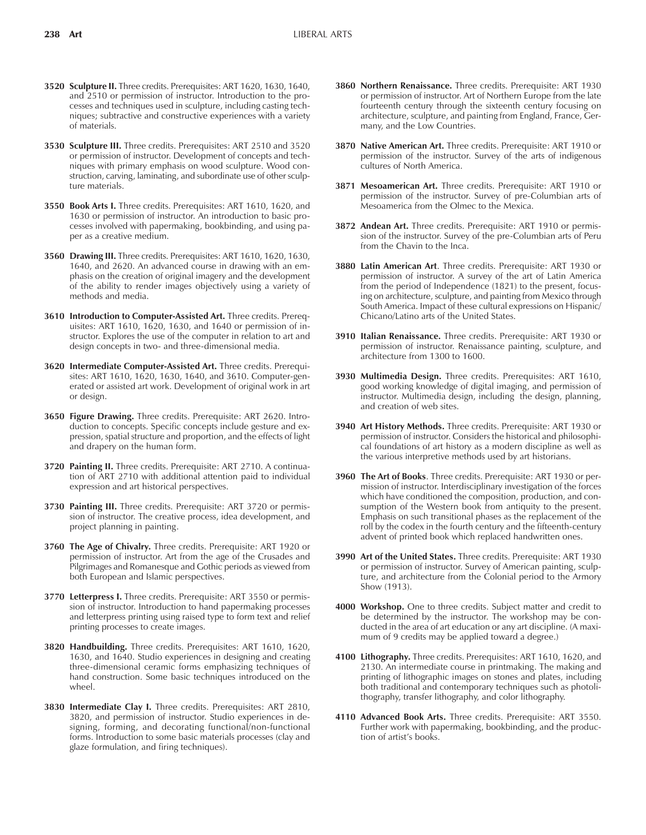- **3520 Sculpture II.** Three credits. Prerequisites: ART 1620, 1630, 1640, and 2510 or permission of instructor. Introduction to the processes and techniques used in sculpture, including casting techniques; subtractive and constructive experiences with a variety of materials.
- **3530 Sculpture III.** Three credits. Prerequisites: ART 2510 and 3520 or permission of instructor. Development of concepts and techniques with primary emphasis on wood sculpture. Wood construction, carving, laminating, and subordinate use of other sculpture materials.
- **3550 Book Arts I.** Three credits. Prerequisites: ART 1610, 1620, and 1630 or permission of instructor. An introduction to basic processes involved with papermaking, bookbinding, and using paper as a creative medium.
- **3560 Drawing III.** Three credits. Prerequisites: ART 1610, 1620, 1630, 1640, and 2620. An advanced course in drawing with an emphasis on the creation of original imagery and the development of the ability to render images objectively using a variety of methods and media.
- **3610 Introduction to Computer-Assisted Art.** Three credits. Prerequisites: ART 1610, 1620, 1630, and 1640 or permission of instructor. Explores the use of the computer in relation to art and design concepts in two- and three-dimensional media.
- **3620 Intermediate Computer-Assisted Art.** Three credits. Prerequisites: ART 1610, 1620, 1630, 1640, and 3610. Computer-generated or assisted art work. Development of original work in art or design.
- **3650 Figure Drawing.** Three credits. Prerequisite: ART 2620. Introduction to concepts. Specific concepts include gesture and expression, spatial structure and proportion, and the effects of light and drapery on the human form.
- **3720 Painting II.** Three credits. Prerequisite: ART 2710. A continuation of ART 2710 with additional attention paid to individual expression and art historical perspectives.
- **3730 Painting III.** Three credits. Prerequisite: ART 3720 or permission of instructor. The creative process, idea development, and project planning in painting.
- **3760 The Age of Chivalry.** Three credits. Prerequisite: ART 1920 or permission of instructor. Art from the age of the Crusades and Pilgrimages and Romanesque and Gothic periods as viewed from both European and Islamic perspectives.
- **3770 Letterpress I.** Three credits. Prerequisite: ART 3550 or permission of instructor. Introduction to hand papermaking processes and letterpress printing using raised type to form text and relief printing processes to create images.
- **3820 Handbuilding.** Three credits. Prerequisites: ART 1610, 1620, 1630, and 1640. Studio experiences in designing and creating three-dimensional ceramic forms emphasizing techniques of hand construction. Some basic techniques introduced on the wheel.
- **3830 Intermediate Clay I.** Three credits. Prerequisites: ART 2810, 3820, and permission of instructor. Studio experiences in designing, forming, and decorating functional/non-functional forms. Introduction to some basic materials processes (clay and glaze formulation, and firing techniques).
- **3860 Northern Renaissance.** Three credits. Prerequisite: ART 1930 or permission of instructor. Art of Northern Europe from the late fourteenth century through the sixteenth century focusing on architecture, sculpture, and painting from England, France, Germany, and the Low Countries.
- **3870 Native American Art.** Three credits. Prerequisite: ART 1910 or permission of the instructor. Survey of the arts of indigenous cultures of North America.
- **3871 Mesoamerican Art.** Three credits. Prerequisite: ART 1910 or permission of the instructor. Survey of pre-Columbian arts of Mesoamerica from the Olmec to the Mexica.
- **3872 Andean Art.** Three credits. Prerequisite: ART 1910 or permission of the instructor. Survey of the pre-Columbian arts of Peru from the Chavin to the Inca.
- **3880 Latin American Art**. Three credits. Prerequisite: ART 1930 or permission of instructor. A survey of the art of Latin America from the period of Independence (1821) to the present, focusing on architecture, sculpture, and painting from Mexico through South America. Impact of these cultural expressions on Hispanic/ Chicano/Latino arts of the United States.
- **3910 Italian Renaissance.** Three credits. Prerequisite: ART 1930 or permission of instructor. Renaissance painting, sculpture, and architecture from 1300 to 1600.
- **3930 Multimedia Design.** Three credits. Prerequisites: ART 1610, good working knowledge of digital imaging, and permission of instructor. Multimedia design, including the design, planning, and creation of web sites.
- **3940 Art History Methods.** Three credits. Prerequisite: ART 1930 or permission of instructor. Considers the historical and philosophical foundations of art history as a modern discipline as well as the various interpretive methods used by art historians.
- **3960 The Art of Books**. Three credits. Prerequisite: ART 1930 or permission of instructor. Interdisciplinary investigation of the forces which have conditioned the composition, production, and consumption of the Western book from antiquity to the present. Emphasis on such transitional phases as the replacement of the roll by the codex in the fourth century and the fifteenth-century advent of printed book which replaced handwritten ones.
- **3990 Art of the United States.** Three credits. Prerequisite: ART 1930 or permission of instructor. Survey of American painting, sculpture, and architecture from the Colonial period to the Armory Show (1913).
- **4000 Workshop.** One to three credits. Subject matter and credit to be determined by the instructor. The workshop may be conducted in the area of art education or any art discipline. (A maximum of 9 credits may be applied toward a degree.)
- **4100 Lithography.** Three credits. Prerequisites: ART 1610, 1620, and 2130. An intermediate course in printmaking. The making and printing of lithographic images on stones and plates, including both traditional and contemporary techniques such as photolithography, transfer lithography, and color lithography.
- **4110 Advanced Book Arts.** Three credits. Prerequisite: ART 3550. Further work with papermaking, bookbinding, and the production of artist's books.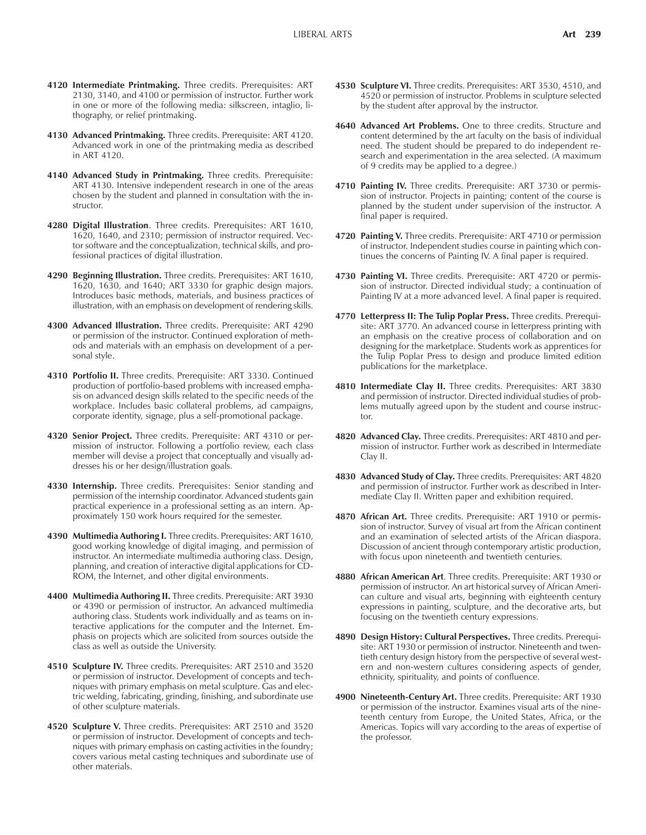- **4120 Intermediate Printmaking.** Three credits. Prerequisites: ART 2130, 3140, and 4100 or permission of instructor. Further work in one or more of the following media: silkscreen, intaglio, lithography, or relief printmaking.
- **4130 Advanced Printmaking.** Three credits. Prerequisite: ART 4120. Advanced work in one of the printmaking media as described in ART 4120.
- **4140 Advanced Study in Printmaking.** Three credits. Prerequisite: ART 4130. Intensive independent research in one of the areas chosen by the student and planned in consultation with the instructor.
- **4280 Digital Illustration**. Three credits. Prerequisites: ART 1610, 1620, 1640, and 2310; permission of instructor required. Vector software and the conceptualization, technical skills, and professional practices of digital illustration.
- **4290 Beginning Illustration.** Three credits. Prerequisites: ART 1610, 1620, 1630, and 1640; ART 3330 for graphic design majors. Introduces basic methods, materials, and business practices of illustration, with an emphasis on development of rendering skills.
- **4300 Advanced Illustration.** Three credits. Prerequisite: ART 4290 or permission of the instructor. Continued exploration of methods and materials with an emphasis on development of a personal style.
- **4310 Portfolio II.** Three credits. Prerequisite: ART 3330. Continued production of portfolio-based problems with increased emphasis on advanced design skills related to the specific needs of the workplace. Includes basic collateral problems, ad campaigns, corporate identity, signage, plus a self-promotional package.
- **4320 Senior Project.** Three credits. Prerequisite: ART 4310 or permission of instructor. Following a portfolio review, each class member will devise a project that conceptually and visually addresses his or her design/illustration goals.
- **4330 Internship.** Three credits. Prerequisites: Senior standing and permission of the internship coordinator. Advanced students gain practical experience in a professional setting as an intern. Approximately 150 work hours required for the semester.
- **4390 Multimedia Authoring I.** Three credits. Prerequisites: ART 1610, good working knowledge of digital imaging, and permission of instructor. An intermediate multimedia authoring class. Design, planning, and creation of interactive digital applications for CD-ROM, the Internet, and other digital environments.
- **4400 Multimedia Authoring II.** Three credits. Prerequisite: ART 3930 or 4390 or permission of instructor. An advanced multimedia authoring class. Students work individually and as teams on interactive applications for the computer and the Internet. Emphasis on projects which are solicited from sources outside the class as well as outside the University.
- **4510 Sculpture IV.** Three credits. Prerequisites: ART 2510 and 3520 or permission of instructor. Development of concepts and techniques with primary emphasis on metal sculpture. Gas and electric welding, fabricating, grinding, finishing, and subordinate use of other sculpture materials.
- **4520 Sculpture V.** Three credits. Prerequisites: ART 2510 and 3520 or permission of instructor. Development of concepts and techniques with primary emphasis on casting activities in the foundry; covers various metal casting techniques and subordinate use of other materials.
- **4530 Sculpture VI.** Three credits. Prerequisites: ART 3530, 4510, and 4520 or permission of instructor. Problems in sculpture selected by the student after approval by the instructor.
- **4640 Advanced Art Problems.** One to three credits. Structure and content determined by the art faculty on the basis of individual need. The student should be prepared to do independent research and experimentation in the area selected. (A maximum of 9 credits may be applied to a degree.)
- **4710 Painting IV.** Three credits. Prerequisite: ART 3730 or permission of instructor. Projects in painting; content of the course is planned by the student under supervision of the instructor. A final paper is required.
- **4720 Painting V.** Three credits. Prerequisite: ART 4710 or permission of instructor. Independent studies course in painting which continues the concerns of Painting IV. A final paper is required.
- 4730 Painting VI. Three credits. Prerequisite: ART 4720 or permission of instructor. Directed individual study; a continuation of Painting IV at a more advanced level. A final paper is required.
- **4770 Letterpress II: The Tulip Poplar Press.** Three credits. Prerequisite: ART 3770. An advanced course in letterpress printing with an emphasis on the creative process of collaboration and on designing for the marketplace. Students work as apprentices for the Tulip Poplar Press to design and produce limited edition publications for the marketplace.
- **4810 Intermediate Clay II.** Three credits. Prerequisites: ART 3830 and permission of instructor. Directed individual studies of problems mutually agreed upon by the student and course instructor.
- **4820 Advanced Clay.** Three credits. Prerequisites: ART 4810 and permission of instructor. Further work as described in Intermediate Clay II.
- **4830 Advanced Study of Clay.** Three credits. Prerequisites: ART 4820 and permission of instructor. Further work as described in Intermediate Clay II. Written paper and exhibition required.
- **4870 African Art.** Three credits. Prerequisite: ART 1910 or permission of instructor. Survey of visual art from the African continent and an examination of selected artists of the African diaspora. Discussion of ancient through contemporary artistic production, with focus upon nineteenth and twentieth centuries.
- **4880 African American Art**. Three credits. Prerequisite: ART 1930 or permission of instructor. An art historical survey of African American culture and visual arts, beginning with eighteenth century expressions in painting, sculpture, and the decorative arts, but focusing on the twentieth century expressions.
- **4890 Design History: Cultural Perspectives.** Three credits. Prerequisite: ART 1930 or permission of instructor. Nineteenth and twentieth century design history from the perspective of several western and non-western cultures considering aspects of gender, ethnicity, spirituality, and points of confluence.
- **4900 Nineteenth-Century Art.** Three credits. Prerequisite: ART 1930 or permission of the instructor. Examines visual arts of the nineteenth century from Europe, the United States, Africa, or the Americas. Topics will vary according to the areas of expertise of the professor.